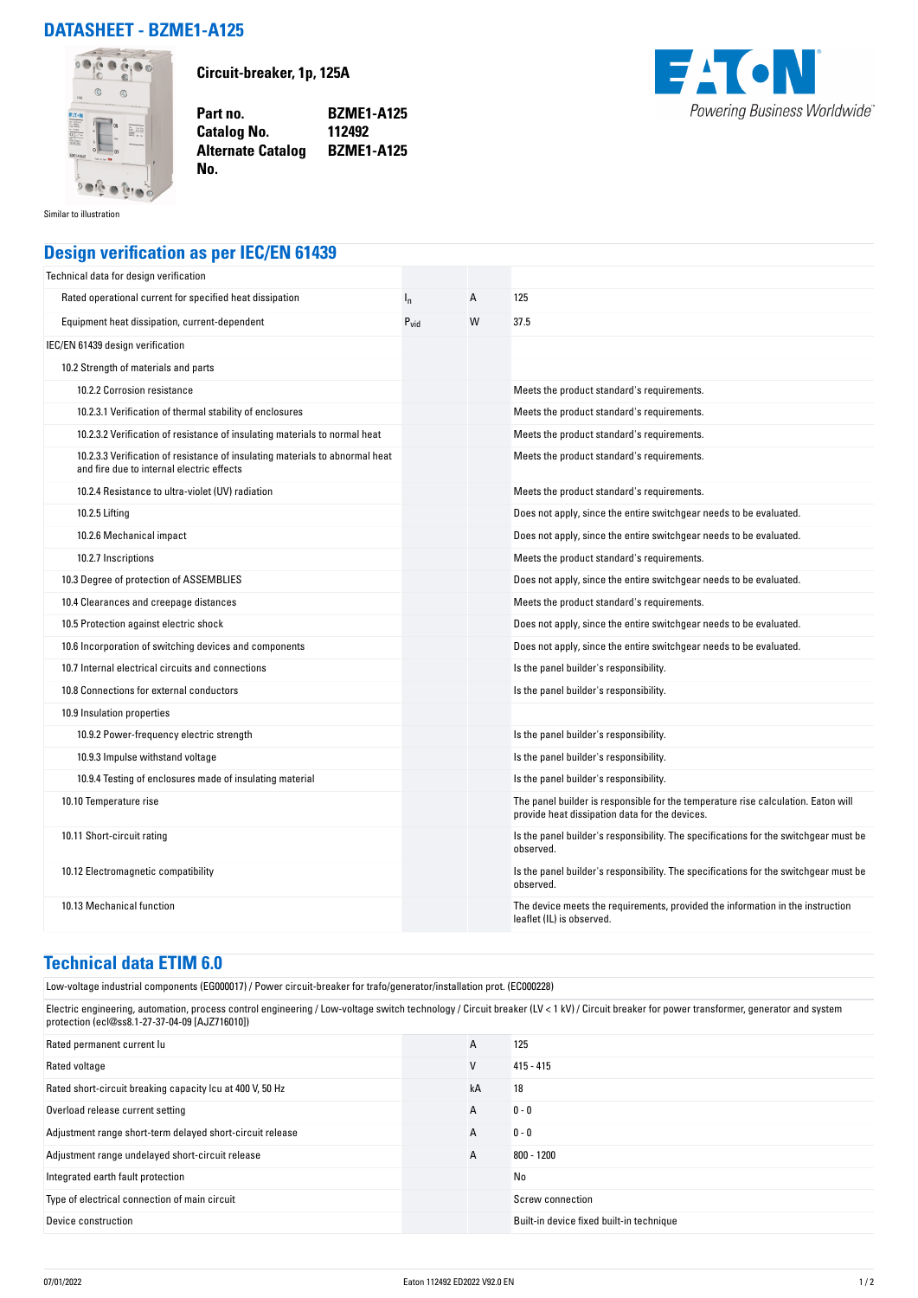## **DATASHEET - BZME1-A125**



**Circuit-breaker, 1p, 125A**

**Part no. BZME1-A125 Catalog No. Alternate Catalog BZME1-A125**



Similar to illustration

## **Design verification as per IEC/EN 61439**

**No.** 

| Technical data for design verification                                                                                    |                  |   |                                                                                                                                     |
|---------------------------------------------------------------------------------------------------------------------------|------------------|---|-------------------------------------------------------------------------------------------------------------------------------------|
| Rated operational current for specified heat dissipation                                                                  | ı,               | А | 125                                                                                                                                 |
| Equipment heat dissipation, current-dependent                                                                             | $P_{\text{vid}}$ | W | 37.5                                                                                                                                |
| IEC/EN 61439 design verification                                                                                          |                  |   |                                                                                                                                     |
| 10.2 Strength of materials and parts                                                                                      |                  |   |                                                                                                                                     |
| 10.2.2 Corrosion resistance                                                                                               |                  |   | Meets the product standard's requirements.                                                                                          |
| 10.2.3.1 Verification of thermal stability of enclosures                                                                  |                  |   | Meets the product standard's requirements.                                                                                          |
| 10.2.3.2 Verification of resistance of insulating materials to normal heat                                                |                  |   | Meets the product standard's requirements.                                                                                          |
| 10.2.3.3 Verification of resistance of insulating materials to abnormal heat<br>and fire due to internal electric effects |                  |   | Meets the product standard's requirements.                                                                                          |
| 10.2.4 Resistance to ultra-violet (UV) radiation                                                                          |                  |   | Meets the product standard's requirements.                                                                                          |
| 10.2.5 Lifting                                                                                                            |                  |   | Does not apply, since the entire switchgear needs to be evaluated.                                                                  |
| 10.2.6 Mechanical impact                                                                                                  |                  |   | Does not apply, since the entire switchgear needs to be evaluated.                                                                  |
| 10.2.7 Inscriptions                                                                                                       |                  |   | Meets the product standard's requirements.                                                                                          |
| 10.3 Degree of protection of ASSEMBLIES                                                                                   |                  |   | Does not apply, since the entire switchgear needs to be evaluated.                                                                  |
| 10.4 Clearances and creepage distances                                                                                    |                  |   | Meets the product standard's requirements.                                                                                          |
| 10.5 Protection against electric shock                                                                                    |                  |   | Does not apply, since the entire switchgear needs to be evaluated.                                                                  |
| 10.6 Incorporation of switching devices and components                                                                    |                  |   | Does not apply, since the entire switchgear needs to be evaluated.                                                                  |
| 10.7 Internal electrical circuits and connections                                                                         |                  |   | Is the panel builder's responsibility.                                                                                              |
| 10.8 Connections for external conductors                                                                                  |                  |   | Is the panel builder's responsibility.                                                                                              |
| 10.9 Insulation properties                                                                                                |                  |   |                                                                                                                                     |
| 10.9.2 Power-frequency electric strength                                                                                  |                  |   | Is the panel builder's responsibility.                                                                                              |
| 10.9.3 Impulse withstand voltage                                                                                          |                  |   | Is the panel builder's responsibility.                                                                                              |
| 10.9.4 Testing of enclosures made of insulating material                                                                  |                  |   | Is the panel builder's responsibility.                                                                                              |
| 10.10 Temperature rise                                                                                                    |                  |   | The panel builder is responsible for the temperature rise calculation. Eaton will<br>provide heat dissipation data for the devices. |
| 10.11 Short-circuit rating                                                                                                |                  |   | Is the panel builder's responsibility. The specifications for the switchgear must be<br>observed.                                   |
| 10.12 Electromagnetic compatibility                                                                                       |                  |   | Is the panel builder's responsibility. The specifications for the switchgear must be<br>observed.                                   |
| 10.13 Mechanical function                                                                                                 |                  |   | The device meets the requirements, provided the information in the instruction<br>leaflet (IL) is observed.                         |

## **Technical data ETIM 6.0**

Low-voltage industrial components (EG000017) / Power circuit-breaker for trafo/generator/installation prot. (EC000228)

Electric engineering, automation, process control engineering / Low-voltage switch technology / Circuit breaker (LV < 1 kV) / Circuit breaker for power transformer, generator and system protection (ecl@ss8.1-27-37-04-09 [AJZ716010])

| Rated permanent current lu                                | A  | 125                                      |
|-----------------------------------------------------------|----|------------------------------------------|
| Rated voltage                                             | v  | $415 - 415$                              |
| Rated short-circuit breaking capacity Icu at 400 V, 50 Hz | kA | 18                                       |
| Overload release current setting                          | A  | $0 - 0$                                  |
| Adjustment range short-term delayed short-circuit release | A  | $0 - 0$                                  |
| Adjustment range undelayed short-circuit release          | A  | $800 - 1200$                             |
| Integrated earth fault protection                         |    | No                                       |
| Type of electrical connection of main circuit             |    | Screw connection                         |
| Device construction                                       |    | Built-in device fixed built-in technique |